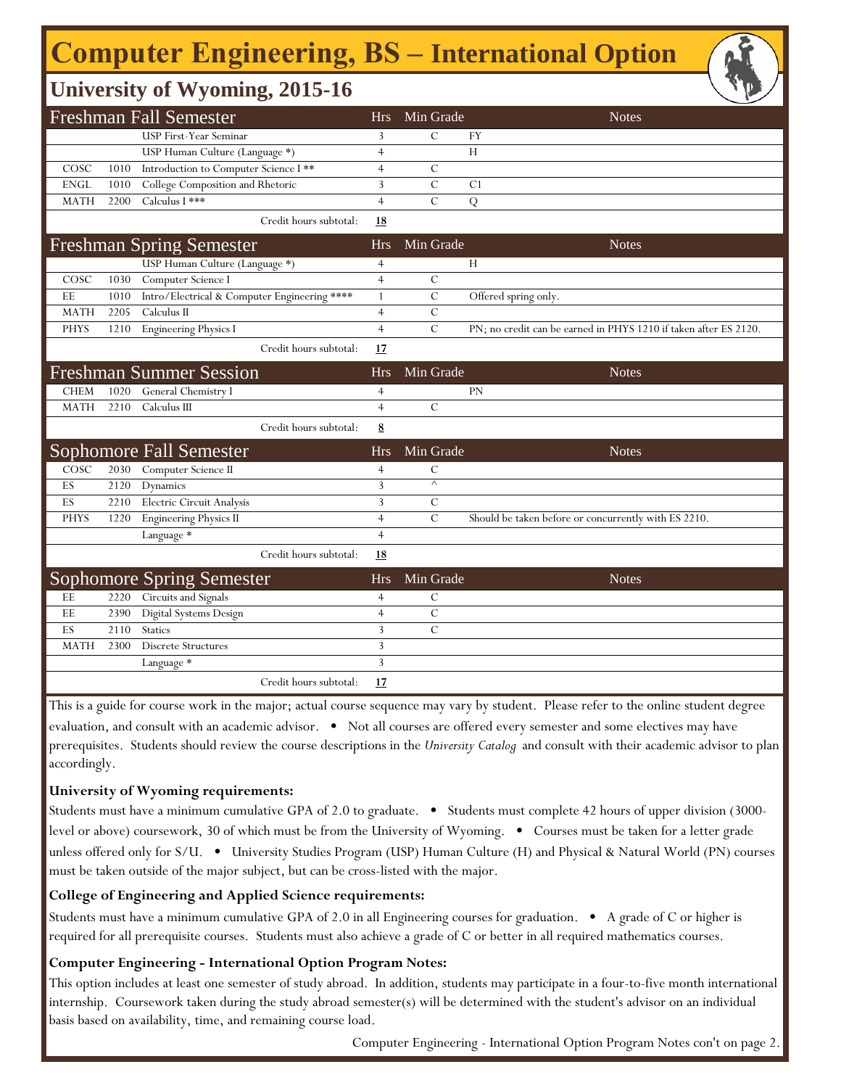## **Computer Engineering, BS - International Option**

## **University of Wyoming, 2015-16**

|             |      | <b>Freshman Fall Semester</b>                |                        | <b>Hrs</b>     | Min Grade     |                      | <b>Notes</b>                                                     |  |
|-------------|------|----------------------------------------------|------------------------|----------------|---------------|----------------------|------------------------------------------------------------------|--|
|             |      | <b>USP First-Year Seminar</b>                |                        | 3              | $\mathcal{C}$ | FY                   |                                                                  |  |
|             |      | USP Human Culture (Language *)               |                        | $\overline{4}$ |               | H                    |                                                                  |  |
| COSC        | 1010 | Introduction to Computer Science I**         |                        | $\overline{4}$ | $\mathcal{C}$ |                      |                                                                  |  |
| <b>ENGL</b> | 1010 | College Composition and Rhetoric             |                        | 3              | $\mathbf C$   | C1                   |                                                                  |  |
| <b>MATH</b> | 2200 | Calculus I ***                               |                        | $\overline{4}$ | $\mathcal{C}$ | Q                    |                                                                  |  |
|             |      |                                              | Credit hours subtotal: | <u>18</u>      |               |                      |                                                                  |  |
|             |      | <b>Freshman Spring Semester</b>              |                        | <b>Hrs</b>     | Min Grade     |                      | <b>Notes</b>                                                     |  |
|             |      | USP Human Culture (Language *)               |                        | $\overline{4}$ |               | H                    |                                                                  |  |
| COSC        | 1030 | Computer Science I                           |                        | $\overline{4}$ | $\mathcal{C}$ |                      |                                                                  |  |
| EE          | 1010 | Intro/Electrical & Computer Engineering **** |                        | $\mathbf{1}$   | $\mathcal{C}$ | Offered spring only. |                                                                  |  |
| <b>MATH</b> | 2205 | Calculus II                                  |                        | $\overline{4}$ | $\mathbf C$   |                      |                                                                  |  |
| <b>PHYS</b> | 1210 | <b>Engineering Physics I</b>                 |                        | $\overline{4}$ | $\mathcal{C}$ |                      | PN; no credit can be earned in PHYS 1210 if taken after ES 2120. |  |
|             |      |                                              | Credit hours subtotal: | 17             |               |                      |                                                                  |  |
|             |      | <b>Freshman Summer Session</b>               |                        | <b>Hrs</b>     | Min Grade     |                      | <b>Notes</b>                                                     |  |
| <b>CHEM</b> | 1020 | General Chemistry I                          |                        | $\overline{4}$ |               | PN                   |                                                                  |  |
| <b>MATH</b> | 2210 | Calculus III                                 |                        | $\overline{4}$ | $\mathcal{C}$ |                      |                                                                  |  |
|             |      |                                              | Credit hours subtotal: | 8              |               |                      |                                                                  |  |
|             |      | Sophomore Fall Semester                      |                        | <b>Hrs</b>     | Min Grade     |                      | <b>Notes</b>                                                     |  |
| COSC        | 2030 | Computer Science II                          |                        | $\overline{4}$ | $\mathcal{C}$ |                      |                                                                  |  |
| ES          | 2120 | Dynamics                                     |                        | $\overline{3}$ | $\wedge$      |                      |                                                                  |  |
| ES          | 2210 | Electric Circuit Analysis                    |                        | 3              | $\mathcal{C}$ |                      |                                                                  |  |
| <b>PHYS</b> | 1220 | <b>Engineering Physics II</b>                |                        | $\overline{4}$ | $\mathbf C$   |                      | Should be taken before or concurrently with ES 2210.             |  |
|             |      | Language *                                   |                        | $\overline{4}$ |               |                      |                                                                  |  |
|             |      |                                              | Credit hours subtotal: | 18             |               |                      |                                                                  |  |
|             |      | <b>Sophomore Spring Semester</b>             |                        | <b>Hrs</b>     | Min Grade     |                      | <b>Notes</b>                                                     |  |
| EE          | 2220 | Circuits and Signals                         |                        | $\overline{4}$ | $\mathcal{C}$ |                      |                                                                  |  |
| EE          | 2390 | Digital Systems Design                       |                        | $\overline{4}$ | $\mathbf C$   |                      |                                                                  |  |
| ES          | 2110 | <b>Statics</b>                               |                        | $\overline{3}$ | $\mathcal{C}$ |                      |                                                                  |  |
| <b>MATH</b> | 2300 | <b>Discrete Structures</b>                   |                        | 3              |               |                      |                                                                  |  |
|             |      | Language *                                   |                        | $\overline{3}$ |               |                      |                                                                  |  |
|             |      |                                              | Credit hours subtotal: | 17             |               |                      |                                                                  |  |

This is a guide for course work in the major; actual course sequence may vary by student. Please refer to the online student degree evaluation, and consult with an academic advisor. • Not all courses are offered every semester and some electives may have prerequisites. Students should review the course descriptions in the *University Catalog* and consult with their academic advisor to plan accordingly.

#### **University of Wyoming requirements:**

Students must have a minimum cumulative GPA of 2.0 to graduate. • Students must complete 42 hours of upper division (3000 level or above) coursework, 30 of which must be from the University of Wyoming. • Courses must be taken for a letter grade unless offered only for S/U. • University Studies Program (USP) Human Culture (H) and Physical & Natural World (PN) courses must be taken outside of the major subject, but can be cross-listed with the major.

### **College of Engineering and Applied Science requirements:**

Students must have a minimum cumulative GPA of 2.0 in all Engineering courses for graduation. • A grade of C or higher is required for all prerequisite courses. Students must also achieve a grade of C or better in all required mathematics courses.

### **Computer Engineering - International Option Program Notes:**

This option includes at least one semester of study abroad. In addition, students may participate in a four-to-five month international internship. Coursework taken during the study abroad semester(s) will be determined with the student's advisor on an individual basis based on availability, time, and remaining course load.

Computer Engineering - International Option Program Notes con't on page 2.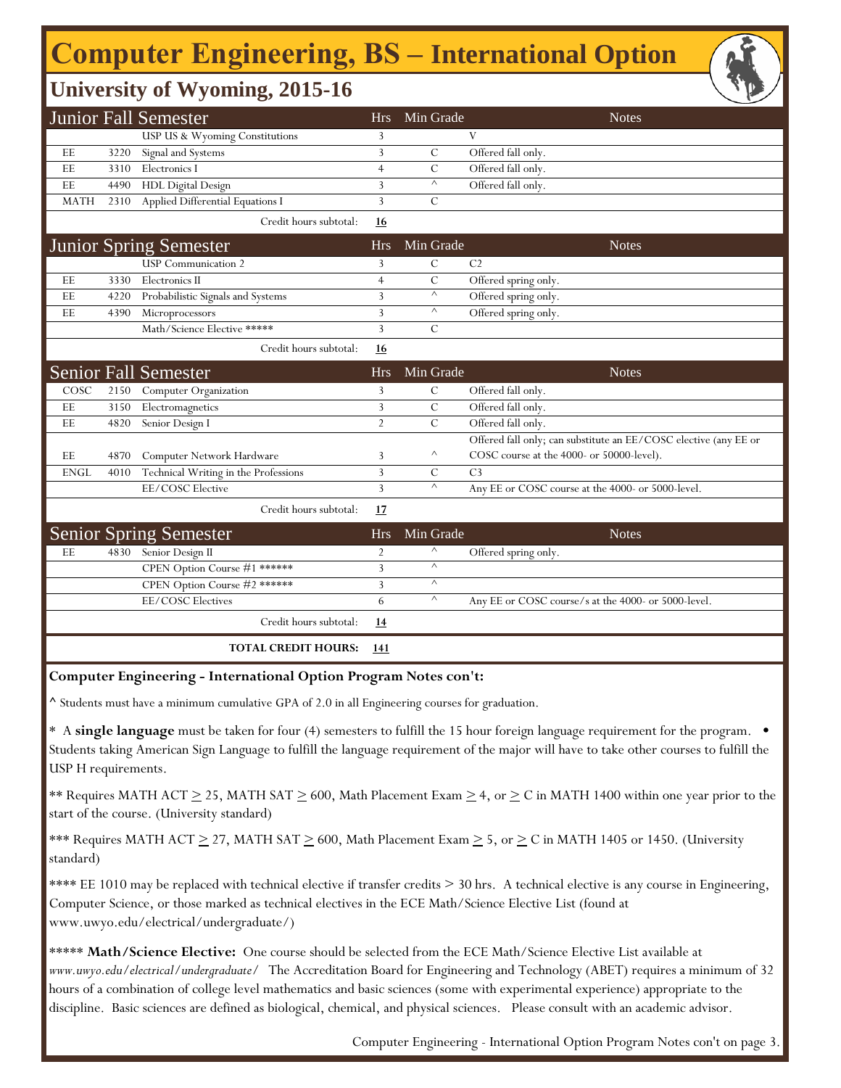## **Computer Engineering, BS - International Option**

## **University of Wyoming, 2015-16**

|             |      | <b>Junior Fall Semester</b>          | <b>Hrs</b>     | Min Grade     | <b>Notes</b>                                                     |
|-------------|------|--------------------------------------|----------------|---------------|------------------------------------------------------------------|
|             |      | USP US & Wyoming Constitutions       | 3              |               | V                                                                |
| EE          | 3220 | Signal and Systems                   | 3              | $\mathcal{C}$ | Offered fall only.                                               |
| EE          | 3310 | Electronics I                        | 4              | $\mathcal{C}$ | Offered fall only.                                               |
| EE          | 4490 | <b>HDL Digital Design</b>            | 3              | $\land$       | Offered fall only.                                               |
| <b>MATH</b> | 2310 | Applied Differential Equations I     | 3              | $\mathcal{C}$ |                                                                  |
|             |      | Credit hours subtotal:               | 16             |               |                                                                  |
|             |      | <b>Junior Spring Semester</b>        | <b>Hrs</b>     | Min Grade     | <b>Notes</b>                                                     |
|             |      | <b>USP</b> Communication 2           | 3              | $\mathcal{C}$ | C <sub>2</sub>                                                   |
| EE          | 3330 | Electronics II                       | $\overline{4}$ | $\mathcal{C}$ | Offered spring only.                                             |
| EE          | 4220 | Probabilistic Signals and Systems    | 3              | $\wedge$      | Offered spring only.                                             |
| EE          | 4390 | Microprocessors                      | 3              | $\land$       | Offered spring only.                                             |
|             |      | Math/Science Elective *****          | 3              | $\mathcal{C}$ |                                                                  |
|             |      | Credit hours subtotal:               | 16             |               |                                                                  |
|             |      | <b>Senior Fall Semester</b>          | <b>Hrs</b>     | Min Grade     | <b>Notes</b>                                                     |
| COSC        | 2150 | Computer Organization                | 3              | $\mathcal{C}$ | Offered fall only.                                               |
| EE          | 3150 | Electromagnetics                     | 3              | $\mathcal{C}$ | Offered fall only.                                               |
| EE          | 4820 | Senior Design I                      | $\overline{2}$ | $\mathcal{C}$ | Offered fall only.                                               |
|             |      |                                      |                |               | Offered fall only; can substitute an EE/COSC elective (any EE or |
| EE          | 4870 | Computer Network Hardware            | 3              | Λ             | COSC course at the 4000- or 50000-level).                        |
| <b>ENGL</b> | 4010 | Technical Writing in the Professions | 3              | $\mathcal{C}$ | C <sub>3</sub>                                                   |
|             |      | EE/COSC Elective                     | 3              | $\land$       | Any EE or COSC course at the 4000- or 5000-level.                |
|             |      | Credit hours subtotal:               | 17             |               |                                                                  |
|             |      | <b>Senior Spring Semester</b>        | <b>Hrs</b>     | Min Grade     | <b>Notes</b>                                                     |
| EE          | 4830 | Senior Design II                     | $\overline{2}$ | $\land$       | Offered spring only.                                             |
|             |      | CPEN Option Course #1 ******         | 3              | $\land$       |                                                                  |
|             |      | CPEN Option Course #2 ******         | 3              | $\wedge$      |                                                                  |
|             |      | EE/COSC Electives                    | 6              | $\land$       | Any EE or COSC course/s at the 4000- or 5000-level.              |
|             |      | Credit hours subtotal:               | <u>14</u>      |               |                                                                  |
|             |      | <b>TOTAL CREDIT HOURS:</b>           | 141            |               |                                                                  |

#### **Computer Engineering - International Option Program Notes con't:**

**^** Students must have a minimum cumulative GPA of 2.0 in all Engineering courses for graduation.

\* A **single language** must be taken for four (4) semesters to fulfill the 15 hour foreign language requirement for the program. • Students taking American Sign Language to fulfill the language requirement of the major will have to take other courses to fulfill the USP H requirements.

\*\* Requires MATH ACT  $\geq$  25, MATH SAT  $\geq$  600, Math Placement Exam  $\geq$  4, or  $\geq$  C in MATH 1400 within one year prior to the start of the course. (University standard)

\*\*\* Requires MATH ACT  $\geq$  27, MATH SAT  $\geq$  600, Math Placement Exam  $\geq$  5, or  $\geq$  C in MATH 1405 or 1450. (University standard)

\*\*\*\* EE 1010 may be replaced with technical elective if transfer credits > 30 hrs. A technical elective is any course in Engineering, Computer Science, or those marked as technical electives in the ECE Math/Science Elective List (found at www.uwyo.edu/electrical/undergraduate/)

\*\*\*\*\* **Math/Science Elective:** One course should be selected from the ECE Math/Science Elective List available at *www.uwyo.edu/electrical/undergraduate/* The Accreditation Board for Engineering and Technology (ABET) requires a minimum of 32 hours of a combination of college level mathematics and basic sciences (some with experimental experience) appropriate to the discipline. Basic sciences are defined as biological, chemical, and physical sciences. Please consult with an academic advisor.

Computer Engineering - International Option Program Notes con't on page 3.